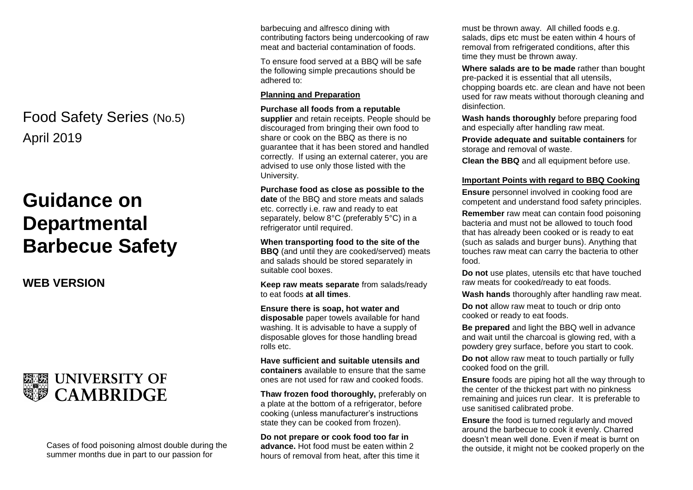# April 2019 Food Safety Series (No.5)

# **Guidance on Departmental Barbecue Safety**

**WEB VERSION**



Cases of food poisoning almost double during the summer months due in part to our passion for

barbecuing and alfresco dining with contributing factors being undercooking of raw meat and bacterial contamination of foods.

To ensure food served at a BBQ will be safe the following simple precautions should be adhered to:

#### **Planning and Preparation**

**Purchase all foods from a reputable** 

**supplier** and retain receipts. People should be discouraged from bringing their own food to share or cook on the BBQ as there is no guarantee that it has been stored and handled correctly. If using an external caterer, you are advised to use only those listed with the University.

**Purchase food as close as possible to the date** of the BBQ and store meats and salads etc. correctly i.e. raw and ready to eat separately, below 8°C (preferably 5°C) in a refrigerator until required.

**When transporting food to the site of the BBQ** (and until they are cooked/served) meats and salads should be stored separately in suitable cool boxes.

**Keep raw meats separate** from salads/ready to eat foods **at all times**.

**Ensure there is soap, hot water and disposable** paper towels available for hand washing. It is advisable to have a supply of disposable gloves for those handling bread rolls etc.

**Have sufficient and suitable utensils and containers** available to ensure that the same ones are not used for raw and cooked foods.

**Thaw frozen food thoroughly,** preferably on a plate at the bottom of a refrigerator, before cooking (unless manufacturer's instructions state they can be cooked from frozen).

**Do not prepare or cook food too far in advance.** Hot food must be eaten within 2 hours of removal from heat, after this time it must be thrown away. All chilled foods e.g. salads, dips etc must be eaten within 4 hours of removal from refrigerated conditions, after this time they must be thrown away.

**Where salads are to be made** rather than bought pre-packed it is essential that all utensils, chopping boards etc. are clean and have not been used for raw meats without thorough cleaning and disinfection.

**Wash hands thoroughly** before preparing food and especially after handling raw meat.

**Provide adequate and suitable containers** for storage and removal of waste.

**Clean the BBQ** and all equipment before use.

## **Important Points with regard to BBQ Cooking**

**Ensure** personnel involved in cooking food are competent and understand food safety principles.

**Remember** raw meat can contain food poisoning bacteria and must not be allowed to touch food that has already been cooked or is ready to eat (such as salads and burger buns). Anything that touches raw meat can carry the bacteria to other food.

**Do not** use plates, utensils etc that have touched raw meats for cooked/ready to eat foods.

**Wash hands** thoroughly after handling raw meat.

**Do not** allow raw meat to touch or drip onto cooked or ready to eat foods.

**Be prepared** and light the BBQ well in advance and wait until the charcoal is glowing red, with a powdery grey surface, before you start to cook.

**Do not** allow raw meat to touch partially or fully cooked food on the grill.

**Ensure** foods are piping hot all the way through to the center of the thickest part with no pinkness remaining and juices run clear. It is preferable to use sanitised calibrated probe.

**Ensure** the food is turned regularly and moved around the barbecue to cook it evenly. Charred doesn't mean well done. Even if meat is burnt on the outside, it might not be cooked properly on the